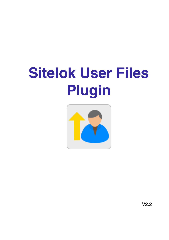# **Sitelok User Files Plugin**



V2.2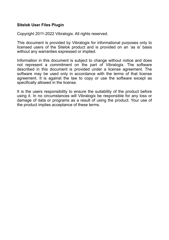### **Sitelok User Files Plugin**

Copyright 2011-2022 Vibralogix. All rights reserved.

This document is provided by Vibralogix for informational purposes only to licensed users of the Sitelok product and is provided on an 'as is' basis without any warranties expressed or implied.

Information in this document is subject to change without notice and does not represent a commitment on the part of Vibralogix. The software described in this document is provided under a license agreement. The software may be used only in accordance with the terms of that license agreement. It is against the law to copy or use the software except as specifically allowed in the license.

It is the users responsibility to ensure the suitability of the product before using it. In no circumstances will Vibralogix be responsible for any loss or damage of data or programs as a result of using the product. Your use of the product implies acceptance of these terms.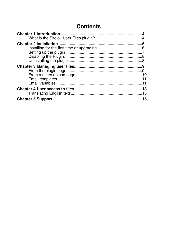# **Contents**

| 15 |
|----|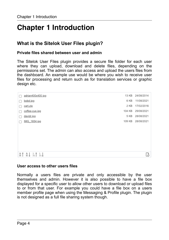# <span id="page-3-0"></span>**Chapter 1 Introduction**

# <span id="page-3-1"></span>**What is the Sitelok User Files plugin?**

### **Private files shared between user and admin**

The Sitelok User Files plugin provides a secure file folder for each user where they can upload, download and delete files, depending on the permissions set. The admin can also access and upload the users files from the dashboard. An example use would be where you wish to receive user files for processing and return such as for translation services or graphic design etc.

| adrian400x400.jpg                                            | 13 KB  | 24/08/2014 |
|--------------------------------------------------------------|--------|------------|
| bobd.jpg                                                     | 6 KB   | 11/08/2021 |
| cart.zip                                                     | 2 KB   | 17/02/2016 |
| coffee-cup.jpg                                               | 104 KB | 29/08/2021 |
| davidr.jpg                                                   | 5 KB   | 28/08/2021 |
| IMG 1654.jpg                                                 | 109 KB | 28/08/2021 |
|                                                              |        |            |
|                                                              |        |            |
|                                                              |        |            |
|                                                              |        |            |
|                                                              |        |            |
| $\frac{A}{Z}$ $\frac{1}{31}$ $\frac{1}{31}$<br>$\frac{A}{Z}$ |        | B          |
|                                                              |        |            |

### **User access to other users files**

Normally a users files are private and only accessible by the user themselves and admin. However it is also possible to have a file box displayed for a specific user to allow other users to download or upload files to or from that user. For example you could have a file box on a users member profile page when using the Messaging & Profile plugin. The plugin is not designed as a full file sharing system though.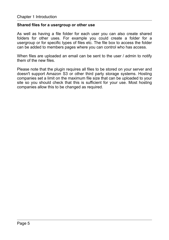### **Shared files for a usergroup or other use**

As well as having a file folder for each user you can also create shared folders for other uses. For example you could create a folder for a usergroup or for specific types of files etc. The file box to access the folder can be added to members pages where you can control who has access.

When files are uploaded an email can be sent to the user / admin to notify them of the new files.

Please note that the plugin requires all files to be stored on your server and doesn't support Amazon S3 or other third party storage systems. Hosting companies set a limit on the maximum file size that can be uploaded to your site so you should check that this is sufficient for your use. Most hosting companies allow this to be changed as required.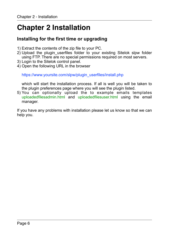# <span id="page-5-0"></span>**Chapter 2 Installation**

## <span id="page-5-1"></span>**Installing for the first time or upgrading**

- 1) Extract the contents of the zip file to your PC.
- 2) Upload the plugin\_userfiles folder to your existing Sitelok slpw folder using FTP. There are no special permissions required on most servers.
- 3) Login to the Sitelok control panel.
- 4) Open the following URL in the browser

https://www.yoursite.com/slpw/plugin\_userfiles/install.php

which will start the installation process. If all is well you will be taken to the plugin preferences page where you will see the plugin listed.

5) You can optionally upload the to example emails templates uploadedfilesadmin.html and uploadedfilesuser.html using the email manager.

If you have any problems with installation please let us know so that we can help you.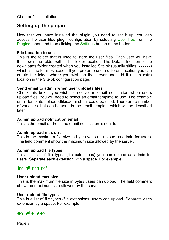# <span id="page-6-0"></span>**Setting up the plugin**

Now that you have installed the plugin you need to set it up. You can access the user files plugin configuration by selecting User files from the Plugins menu and then clicking the Settings button at the bottom.

### **File Location to use**

This is the folder that is used to store the user files. Each user will have their own sub folder within this folder location. The Default location is the downloads folder created when you installed Sitelok (usually slfiles\_xxxxxx) which is fine for most cases. If you prefer to use a different location you can create the folder where you wish on the server and add it as an extra location in the Sitelok configuration page.

### **Send email to admin when user uploads files**

Check this box if you wish to receive an email notification when users upload files. You will need to select an email template to use. The example email template uploadedfilesadmin.html could be used. There are a number of variables that can be used in the email template which will be described later.

### **Admin upload notification email**

This is the email address the email notification is sent to.

### **Admin upload max size**

This is the maximum file size in bytes you can upload as admin for users. The field comment show the maximum size allowed by the server.

#### **Admin upload file types**

This is a list of file types (file extensions) you can upload as admin for users. Separate each extension with a space. For example

### .jpg .gif .png .pdf

#### **User upload max size**

This is the maximum file size in bytes users can upload. The field comment show the maximum size allowed by the server.

### **User upload file types**

This is a list of file types (file extensions) users can upload. Separate each extension by a space. For example

### .jpg .gif .png .pdf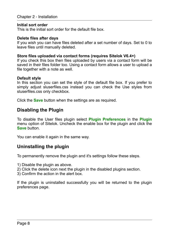### **Initial sort order**

This is the initial sort order for the default file box.

### **Delete files after days**

If you wish you can have files deleted after a set number of days. Set to 0 to leave files until manually deleted.

### **Store files uploaded via contact forms (requires Sitelok V6.4+)**

If you check this box then files uploaded by users via a contact form will be saved in their files folder too. Using a contact form allows a user to upload a file together with a note as well.

### **Default style**

In this section you can set the style of the default file box. If you prefer to simply adjust sluserfiles.css instead you can check the Use styles from sluserfiles.css only checkbox.

Click the **Save** button when the settings are as required.

### <span id="page-7-0"></span>**Disabling the Plugin**

To disable the User files plugin select **Plugin Preferences** in the **Plugin** menu option of Sitelok. Uncheck the enable box for the plugin and click the **Save** button

You can enable it again in the same way.

# <span id="page-7-1"></span>**Uninstalling the plugin**

To permanently remove the plugin and it's settings follow these steps.

- 1) Disable the plugin as above.
- 2) Click the delete icon next the plugin in the disabled plugins section.
- 3) Confirm the action in the alert box.

If the plugin is uninstalled successfully you will be returned to the plugin preferences page.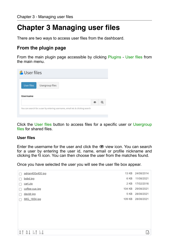# <span id="page-8-0"></span>**Chapter 3 Managing user files**

There are two ways to access user files from the dashboard.

# <span id="page-8-1"></span>**From the plugin page**

From the main plugin page accessible by clicking Plugins - User files from the main menu.

| <b>B</b> User files |                 |  |  |
|---------------------|-----------------|--|--|
| <b>User files</b>   | Usergroup files |  |  |
|                     |                 |  |  |
| <b>Username</b>     |                 |  |  |
|                     |                 |  |  |

Click the User files button to access files for a specific user or Usergroup files for shared files.

### **User files**

Enter the username for the user and click the  $\bullet$  view icon. You can search for a user by entering the user id, name, email or profile nickname and clicking the  $\overline{Q}$  icon. You can then choose the user from the matches found.

Once you have selected the user you will see the user file box appear.

| adrian400x400.jpg                                            | 13 KB  | 24/08/2014 |
|--------------------------------------------------------------|--------|------------|
| bobd.jpg                                                     | 6 KB   | 11/08/2021 |
| cart.zip                                                     | 2 KB   | 17/02/2016 |
| coffee-cup.jpg                                               | 104 KB | 29/08/2021 |
| davidr.jpg                                                   | 5 KB   | 28/08/2021 |
| IMG 1654.jpg                                                 | 109 KB | 28/08/2021 |
|                                                              |        |            |
|                                                              |        |            |
|                                                              |        |            |
|                                                              |        |            |
|                                                              |        |            |
|                                                              |        |            |
| $\frac{A}{Z}$<br>$\frac{A}{Z}$ $\frac{1}{31}$ $\frac{1}{31}$ |        | B          |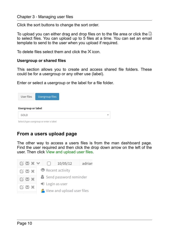Click the sort buttons to change the sort order.

To upload you can either drag and drop files on to the file area or click the  $\mathbb Q$ to select files. You can upload up to 5 files at a time. You can set an email template to send to the user when you upload if required.

To delete files select them and click the  $\mathbb X$  icon.

### **Usergroup or shared files**

This section allows you to create and access shared file folders. These could be for a usergroup or any other use (label).

Enter or select a usergroup or the label for a file folder.

| User files<br>Usergroup or label | Usergroup files                        |  |  |
|----------------------------------|----------------------------------------|--|--|
| GOLD                             |                                        |  |  |
|                                  | Select/type usergroup or enter a label |  |  |

# <span id="page-9-0"></span>**From a users upload page**

The other way to access a users files is from the man dashboard page. Find the user required and then click the drop down arrow on the left of the user. Then click View and upload user files.

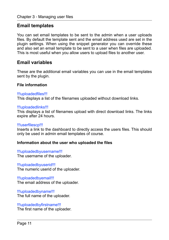### <span id="page-10-0"></span>**Email templates**

You can set email templates to be sent to the admin when a user uploads files. By default the template sent and the email address used are set in the plugin settings. When using the snippet generator you can override these and also set an email template to be sent to a user when files are uploaded. This is most useful when you allow users to upload files to another user.

### <span id="page-10-1"></span>**Email variables**

These are the additional email variables you can use in the email templates sent by the plugin.

### **File information**

### !!!uploadedfiles!!!

This displays a list of the filenames uploaded without download links.

### !!!uploadedlinks!!!

This displays a list of filenames upload with direct download links. The links expire after 24 hours.

### !!!userfilescp!!!

Inserts a link to the dashboard to directly access the users files. This should only be used in admin email templates of course.

### **Information about the user who uploaded the files**

!!!uploadedbyusername!!! The username of the uploader.

### !!!uploadedbyuserid!!!

The numeric userid of the uploader.

!!!uploadedbyemail!!! The email address of the uploader.

!!!uploadedbyname!!! The full name of the uploader.

### !!!uploadedbyfirstname!!!

The first name of the uploader.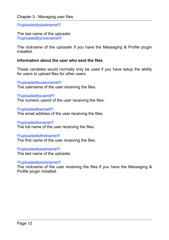!!!uploadedbylastname!!!

The last name of the uploader. !!!uploadedbynickname!!!

The nickname of the uploader if you have the Messaging & Profile plugin installed.

### **Information about the user who sent the files**

These variables would normally only be used if you have setup the ability for users to upload files for other users.

!!!uploadedtousername!!! The username of the user receiving the files.

!!!uploadedtouserid!!! The numeric userid of the user receiving the files.

!!!uploadedtoemail!!! The email address of the user receiving the files.

!!!uploadedtoname!!! The full name of the user receiving the files.

### !!!uploadedtofirstname!!!

The first name of the user receiving the files.

!!!uploadedtolastname!!! The last name of the uploader.

#### !!!uploadedtonickname!!!

The nickname of the user receiving the files if you have the Messaging & Profile plugin installed.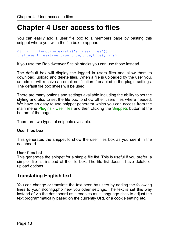# <span id="page-12-0"></span>**Chapter 4 User access to files**

You can easily add a user file box to a members page by pasting this snippet where you wish the file box to appear.

```
<?php if (function_exists('sl_userfiles')) 
{ sl_userfiles(true,true,true,true,true); } ?>
```
If you use the Rapidweaver Sitelok stacks you can use those instead.

The default box will display the logged in users files and allow them to download, upload and delete files. When a file is uploaded by the user you, as admin, will receive an email notification if enabled in the plugin settings. The default file box styles will be used.

There are many options and settings available including the ability to set the styling and also to set the file box to show other users files where needed. We have an easy to use snippet generator which you can access from the main menu Plugins - User files and then clicking the Snippets button at the bottom of the page.

There are two types of snippets available.

### **User files box**

This generates the snippet to show the user files box as you see it in the dashboard.

### **User files list**

This generates the snippet for a simple file list. This is useful if you prefer a simpler file list instead of the file box. The file list doesn't have delete or upload options.

### <span id="page-12-1"></span>**Translating English text**

You can change or translate the text seen by users by adding the following lines to your slconfig.php new you other settings. The text is set this way instead of via the dashboard as it enables multi language sites to adjust the text programmatically based on the currently URL or a cookie setting etc.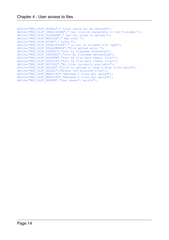```
define("MSG_SLUF_NOTDEL"," files could not be deleted");
define("MSG_SLUF_INVALIDCHAR"," has invalid characters in the filename."); 
define("MSG_SLUF_TOOLARGE"," was too large to upload."); 
define("MSG_SLUF_MAXSIZE"," Max size ");
define("MSG_SLUF_BYTES"," bytes."); 
define("MSG<sup>-SLUF</sub><sup>INVALIDTYPE"," is not an allowed file type");</sup></sup>
define("MSG_SLUF_UPLOADERROR", "File upload error ");
define("MSG_SLUF_SORTASC","Sort by filename ascending"); 
define("MSG_SLUF_SORTDESC","Sort by filename descending"); 
define("MSG_SLUF_SORTNEW","Sort by file date newest first"); 
define("MSG_SLUF_SORTOLD","Sort by file date oldest first"); 
define("MSG_SLUF_NOFILES","No files currently available"); 
define("MSG<sup>-SLUF-UPLOAD","Click to upload or drag & drop files above");</sup>
define("MSG<sup>-</sup>SLUF<sup>-DELSEL","Delete the selected files");</sup>
define("MSG_SLUF_MAXFILES","Maximum 5 files per upload"); 
define("MSG_SLUF_MAXFILES","Maximum 5 files per upload"); 
define("MSG<sup>SLUF</sup>NOUSER","User doesn't exists");
```